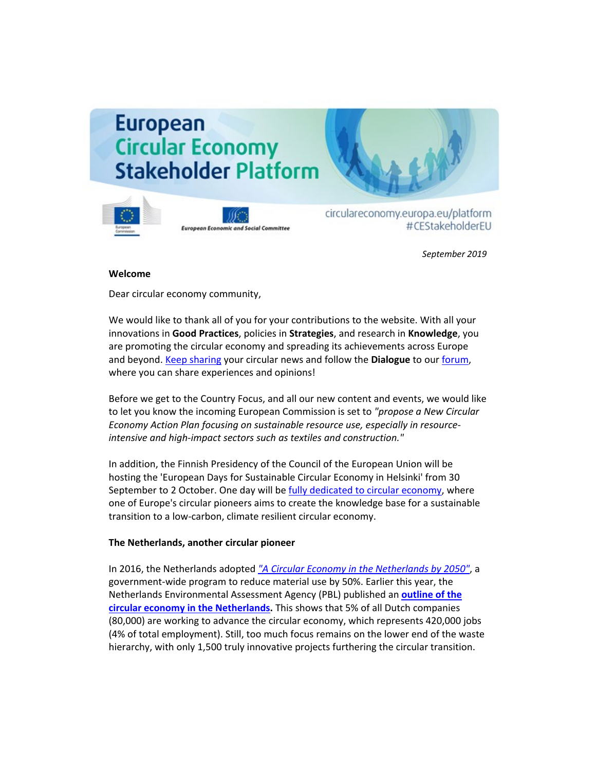# **European Circular Economy Stakeholder Platform**





circulareconomy.europa.eu/platform #CEStakeholderEU

*September 2019*

### **Welcome**

Dear circular economy community,

We would like to thank all of you for your contributions to the website. With all your innovations in **Good Practices**, policies in **Strategies**, and research in **Knowledge**, you are promoting the circular economy and spreading its achievements across Europe and beyond. [Keep sharing](http://cdlink2.eesc.europa.eu/c/4/?T=NzYyODI4NzE%3AcDEtYjE5MTE0LTk1ZmRmMzZmYTIyODRjYTU4NDNmZjczNDc2NmY3MmRm%3AbGF1cmEuYnJvb21maWVsZEBlZXNjLmV1cm9wYS5ldQ%3AY29udGFjdC0zYzJhYzdkYmRlMDZlODExODExMzAwNTA1NmEwNDNlYS0zMjI3Y2UyNjFjNWE0YjBmOTgyMDg1MDU2YTZmMmM2MQ%3AZmFsc2U%3AMw%3A%3AaHR0cHM6Ly9jaXJjdWxhcmVjb25vbXkuZXVyb3BhLmV1L3BsYXRmb3JtL2VuL3N1Ym1pdC1jb250ZW50LTA_X2NsZGVlPWJHRjFjbUV1WW5KdmIyMW1hV1ZzWkVCbFpYTmpMbVYxY205d1lTNWxkUSUzZCUzZCZyZWNpcGllbnRpZD1jb250YWN0LTNjMmFjN2RiZGUwNmU4MTE4MTEzMDA1MDU2YTA0M2VhLWFhMDNhM2ZkODViYTQ4MGNhOTRkNzNlNGFhNTcwNTM3JmVzaWQ9ZTNjZWU4Y2QtYWUyYi1lOTExLTgxMTMtMDA1MDU2YTA0M2VhJl9jbGRlZT1iR0YxY21FdVluSnZiMjFtYVdWc1pFQmxaWE5qTG1WMWNtOXdZUzVsZFElM2QlM2QmcmVjaXBpZW50aWQ9Y29udGFjdC0zYzJhYzdkYmRlMDZlODExODExMzAwNTA1NmEwNDNlYS0zMjI3Y2UyNjFjNWE0YjBmOTgyMDg1MDU2YTZmMmM2MSZlc2lkPTg1ZDM3NzJkLWEyNjUtZTkxMS04MTEzLTAwNTA1NmEwNDNlYQ&K=ch4-Tan4RwOfezS2t9JZOQ) your circular news and follow the **Dialogue** to our [forum,](http://cdlink2.eesc.europa.eu/c/4/?T=NzYyODI4NzE%3AcDEtYjE5MTE0LTk1ZmRmMzZmYTIyODRjYTU4NDNmZjczNDc2NmY3MmRm%3AbGF1cmEuYnJvb21maWVsZEBlZXNjLmV1cm9wYS5ldQ%3AY29udGFjdC0zYzJhYzdkYmRlMDZlODExODExMzAwNTA1NmEwNDNlYS0zMjI3Y2UyNjFjNWE0YjBmOTgyMDg1MDU2YTZmMmM2MQ%3AZmFsc2U%3ANA%3A%3AaHR0cHM6Ly9jaXJjdWxhcmVjb25vbXkuZXVyb3BhLmV1L3BsYXRmb3JtL2ZyL2RpYWxvZ3VlL2Rpc2N1c3Npb25zP19jbGRlZT1iR0YxY21FdVluSnZiMjFtYVdWc1pFQmxaWE5qTG1WMWNtOXdZUzVsZFElM2QlM2QmcmVjaXBpZW50aWQ9Y29udGFjdC0zYzJhYzdkYmRlMDZlODExODExMzAwNTA1NmEwNDNlYS1hYTAzYTNmZDg1YmE0ODBjYTk0ZDczZTRhYTU3MDUzNyZlc2lkPWUzY2VlOGNkLWFlMmItZTkxMS04MTEzLTAwNTA1NmEwNDNlYSZfY2xkZWU9YkdGMWNtRXVZbkp2YjIxbWFXVnNaRUJsWlhOakxtVjFjbTl3WVM1bGRRJTNkJTNkJnJlY2lwaWVudGlkPWNvbnRhY3QtM2MyYWM3ZGJkZTA2ZTgxMTgxMTMwMDUwNTZhMDQzZWEtMzIyN2NlMjYxYzVhNGIwZjk4MjA4NTA1NmE2ZjJjNjEmZXNpZD04NWQzNzcyZC1hMjY1LWU5MTEtODExMy0wMDUwNTZhMDQzZWE&K=bft7LaELsbI2X10YTtU6_w) where you can share experiences and opinions!

Before we get to the Country Focus, and all our new content and events, we would like to let you know the incoming European Commission is set to *"propose a New Circular Economy Action Plan focusing on sustainable resource use, especially in resourceintensive and high-impact sectors such as textiles and construction."*

In addition, the Finnish Presidency of the Council of the European Union will be hosting the 'European Days for Sustainable Circular Economy in Helsinki' from 30 September to 2 October. One day will b[e fully dedicated to circular economy,](https://circulareconomy.europa.eu/platform/en/news-and-events/all-events/ce2019-conference-european-days-sustainable-circular-economy) where one of Europe's circular pioneers aims to create the knowledge base for a sustainable transition to a low-carbon, climate resilient circular economy.

## **The Netherlands, another circular pioneer**

In 2016, the Netherlands adopted *["A Circular Economy in the Netherlands by 2050"](https://circulareconomy.europa.eu/platform/en/strategies?page=1)*, a government-wide program to reduce material use by 50%. Earlier this year, the Netherlands Environmental Assessment Agency (PBL) published an **[outline of the](https://circulareconomy.europa.eu/platform/en/knowledge?page=1) [circular economy in the Netherlands.](https://circulareconomy.europa.eu/platform/en/knowledge?page=1)** This shows that 5% of all Dutch companies (80,000) are working to advance the circular economy, which represents 420,000 jobs (4% of total employment). Still, too much focus remains on the lower end of the waste hierarchy, with only 1,500 truly innovative projects furthering the circular transition.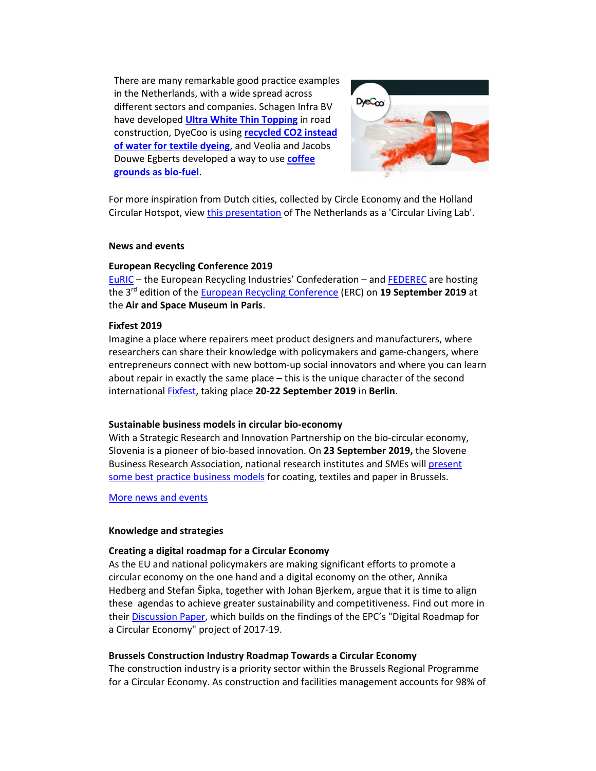There are many remarkable good practice examples in the Netherlands, with a wide spread across different sectors and companies. Schagen Infra BV have developed **[Ultra White Thin Topping](https://circulareconomy.europa.eu/platform/en/good-practices/ultra-thin-white-topping-durable-and-resource-efficient-solution-asphalt-roads)** in road construction, DyeCoo is using **[recycled CO2 instead](https://circulareconomy.europa.eu/platform/en/good-practices/dyecoo-uses-reclaimed-co2-dyeing-medium-closed-loop-process)  [of water for textile dyeing](https://circulareconomy.europa.eu/platform/en/good-practices/dyecoo-uses-reclaimed-co2-dyeing-medium-closed-loop-process)**, and Veolia and Jacobs Douwe Egberts developed a way to use **[coffee](https://circulareconomy.europa.eu/platform/en/good-practices/turning-coffee-product-green-energy)  [grounds as bio-fuel](https://circulareconomy.europa.eu/platform/en/good-practices/turning-coffee-product-green-energy)**.



For more inspiration from Dutch cities, collected by Circle Economy and the Holland Circular Hotspot, view [this presentation](https://hollandcircularhotspot.nl/wp-content/uploads/2019/04/HCH-Brochure-20190410-web_DEF.pdf) of The Netherlands as a 'Circular Living Lab'.

#### **News and events**

#### **European Recycling Conference 2019**

[EuRIC](https://www.euric-aisbl.eu/) – the European Recycling Industries' Confederation – and [FEDEREC](https://federec.com/) are hosting the 3rd edition of the [European Recycling Conference](https://circulareconomy.europa.eu/platform/en/news-and-events/all-events/european-recycling-conference-2019https:/www.euric-aisbl.eu/european-recycling-conference-2019) (ERC) on **19 September 2019** at the **Air and Space Museum in Paris**.

#### **Fixfest 2019**

Imagine a place where repairers meet product designers and manufacturers, where researchers can share their knowledge with policymakers and game-changers, where entrepreneurs connect with new bottom-up social innovators and where you can learn about repair in exactly the same place – this is the unique character of the second international [Fixfest,](https://circulareconomy.europa.eu/platform/en/news-and-events/all-events/fixfest-2019) taking place **20-22 September 2019** in **Berlin**.

#### **Sustainable business models in circular bio-economy**

With a Strategic Research and Innovation Partnership on the bio-circular economy, Slovenia is a pioneer of bio-based innovation. On **23 September 2019,** the Slovene Business Research Association, national research institutes and SMEs will present [some best practice business models](https://circulareconomy.europa.eu/platform/en/news-and-events/all-events/sustainable-business-models-circular-bio-economy) for coating, textiles and paper in Brussels.

[More news and events](http://cdlink2.eesc.europa.eu/c/4/?T=NzYyODI4NzE%3AcDEtYjE5MTE0LTk1ZmRmMzZmYTIyODRjYTU4NDNmZjczNDc2NmY3MmRm%3AbGF1cmEuYnJvb21maWVsZEBlZXNjLmV1cm9wYS5ldQ%3AY29udGFjdC0zYzJhYzdkYmRlMDZlODExODExMzAwNTA1NmEwNDNlYS0zMjI3Y2UyNjFjNWE0YjBmOTgyMDg1MDU2YTZmMmM2MQ%3AZmFsc2U%3AMTU%3A%3AaHR0cHM6Ly9jaXJjdWxhcmVjb25vbXkuZXVyb3BhLmV1L3BsYXRmb3JtL2VuL25ld3MtYW5kLWV2ZW50cz9fY2xkZWU9YkdGMWNtRXVZbkp2YjIxbWFXVnNaRUJsWlhOakxtVjFjbTl3WVM1bGRRJTNkJTNkJnJlY2lwaWVudGlkPWNvbnRhY3QtM2MyYWM3ZGJkZTA2ZTgxMTgxMTMwMDUwNTZhMDQzZWEtYzMzNWMyNDg4MTMyNDZlZWJhZDk2N2YzNWI5Njg4Y2UmZXNpZD0wNmMzZTA3Ny0xZWZhLWU4MTEtODExMy0wMDUwNTZhMDQzZWEmdXJsaWQ9MTAmX2NsZGVlPWJHRjFjbUV1WW5KdmIyMW1hV1ZzWkVCbFpYTmpMbVYxY205d1lTNWxkUSUzZCUzZCZyZWNpcGllbnRpZD1jb250YWN0LTNjMmFjN2RiZGUwNmU4MTE4MTEzMDA1MDU2YTA0M2VhLTMyMjdjZTI2MWM1YTRiMGY5ODIwODUwNTZhNmYyYzYxJmVzaWQ9ODVkMzc3MmQtYTI2NS1lOTExLTgxMTMtMDA1MDU2YTA0M2Vh&K=HW-GiJTaDF1WuW_xI2UgeQ)

#### **Knowledge and strategies**

## **Creating a digital roadmap for a Circular Economy**

As the EU and national policymakers are making significant efforts to promote a circular economy on the one hand and a digital economy on the other, Annika Hedberg and Stefan Šipka, together with Johan Bjerkem, argue that it is time to align these agendas to achieve greater sustainability and competitiveness. Find out more in thei[r Discussion Paper,](https://circulareconomy.europa.eu/platform/en/knowledge) which builds on the findings of the EPC's "Digital Roadmap for a Circular Economy" project of 2017-19.

#### **Brussels Construction Industry Roadmap Towards a Circular Economy**

The construction industry is a priority sector within the Brussels Regional Programme for a Circular Economy. As construction and facilities management accounts for 98% of